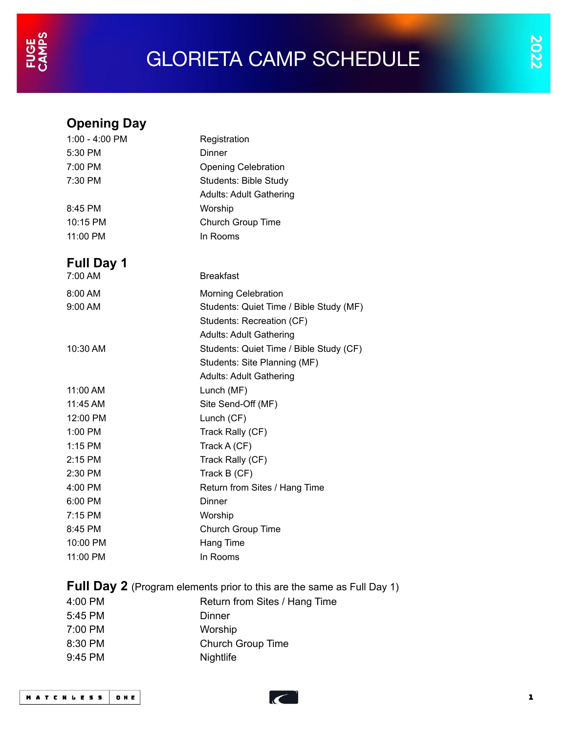## GLORIETA CAMP SCHEDULE

## **Opening Day** 1:00 - 4:00 PM Registration 5:30 PM Dinner 7:00 PM Opening Celebration 7:30 PM Students: Bible Study Adults: Adult Gathering 8:45 PM Worship 10:15 PM Church Group Time 11:00 PM In Rooms **Full Day 1** 7:00 AM Breakfast 8:00 AM Morning Celebration 9:00 AM Students: Quiet Time / Bible Study (MF) Students: Recreation (CF) Adults: Adult Gathering 10:30 AM Students: Quiet Time / Bible Study (CF) Students: Site Planning (MF) Adults: Adult Gathering 11:00 AM Lunch (MF) 11:45 AM Site Send-Off (MF) 12:00 PM Lunch (CF) 1:00 PM Track Rally (CF) 1:15 PM Track A (CF) 2:15 PM Track Rally (CF) 2:30 PM Track B (CF) 4:00 PM Return from Sites / Hang Time 6:00 PM Dinner 7:15 PM Worship 8:45 PM Church Group Time 10:00 PM Hang Time 11:00 PM In Rooms **Full Day 2** (Program elements prior to this are the same as Full Day 1) 4:00 PM Return from Sites / Hang Time 5:45 PM Dinner 7:00 PM Worship 8:30 PM Church Group Time 9:45 PM Nightlife